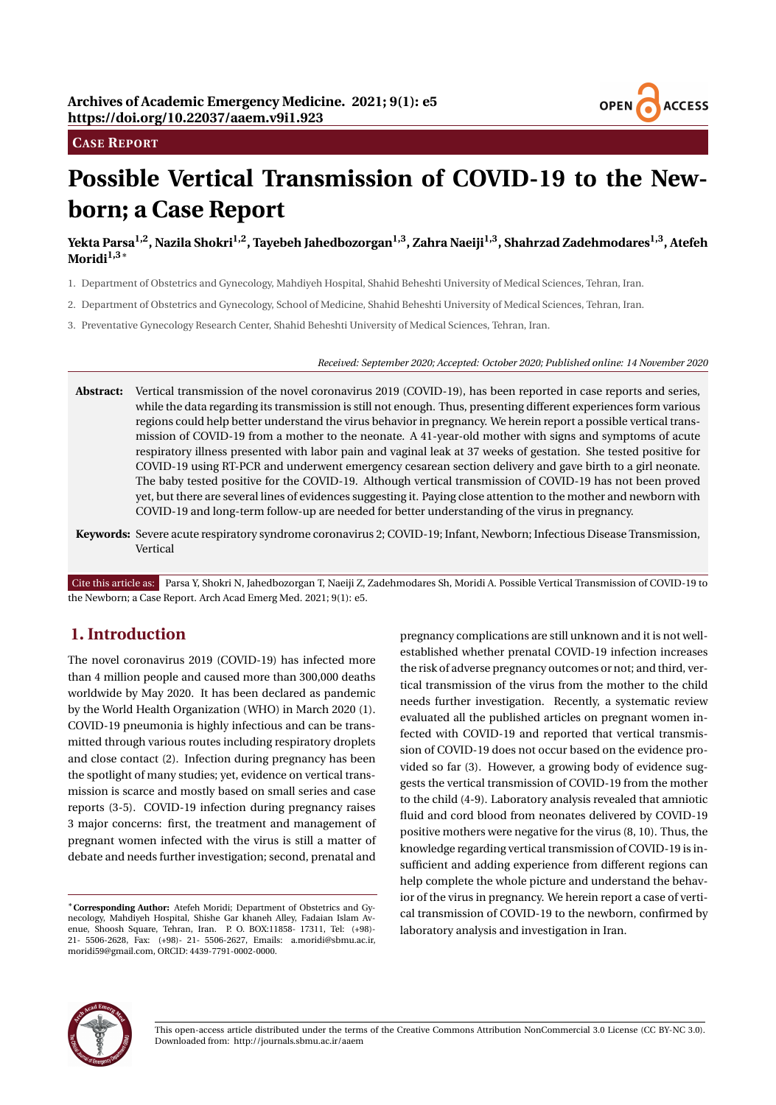

#### **CASE REPORT**

# **Possible Vertical Transmission of COVID-19 to the Newborn; a Case Report**

**Yekta Parsa1,2, Nazila Shokri1,2, Tayebeh Jahedbozorgan1,3, Zahra Naeiji1,3, Shahrzad Zadehmodares1,3, Atefeh Moridi1,3**<sup>∗</sup>

- 1. Department of Obstetrics and Gynecology, Mahdiyeh Hospital, Shahid Beheshti University of Medical Sciences, Tehran, Iran.
- 2. Department of Obstetrics and Gynecology, School of Medicine, Shahid Beheshti University of Medical Sciences, Tehran, Iran.
- 3. Preventative Gynecology Research Center, Shahid Beheshti University of Medical Sciences, Tehran, Iran.

#### *Received: September 2020; Accepted: October 2020; Published online: 14 November 2020*

- **Abstract:** Vertical transmission of the novel coronavirus 2019 (COVID-19), has been reported in case reports and series, while the data regarding its transmission is still not enough. Thus, presenting different experiences form various regions could help better understand the virus behavior in pregnancy. We herein report a possible vertical transmission of COVID-19 from a mother to the neonate. A 41-year-old mother with signs and symptoms of acute respiratory illness presented with labor pain and vaginal leak at 37 weeks of gestation. She tested positive for COVID-19 using RT-PCR and underwent emergency cesarean section delivery and gave birth to a girl neonate. The baby tested positive for the COVID-19. Although vertical transmission of COVID-19 has not been proved yet, but there are several lines of evidences suggesting it. Paying close attention to the mother and newborn with COVID-19 and long-term follow-up are needed for better understanding of the virus in pregnancy.
- **Keywords:** Severe acute respiratory syndrome coronavirus 2; COVID-19; Infant, Newborn; Infectious Disease Transmission, Vertical

Cite this article as: Parsa Y, Shokri N, Jahedbozorgan T, Naeiji Z, Zadehmodares Sh, Moridi A. Possible Vertical Transmission of COVID-19 to the Newborn; a Case Report. Arch Acad Emerg Med. 2021; 9(1): e5.

## **1. Introduction**

The novel coronavirus 2019 (COVID-19) has infected more than 4 million people and caused more than 300,000 deaths worldwide by May 2020. It has been declared as pandemic by the World Health Organization (WHO) in March 2020 (1). COVID-19 pneumonia is highly infectious and can be transmitted through various routes including respiratory droplets and close contact (2). Infection during pregnancy has been the spotlight of many studies; yet, evidence on vertical transmission is scarce and mostly based on small series and case reports (3-5). COVID-19 infection during pregnancy raises 3 major concerns: first, the treatment and management of pregnant women infected with the virus is still a matter of debate and needs further investigation; second, prenatal and

pregnancy complications are still unknown and it is not wellestablished whether prenatal COVID-19 infection increases the risk of adverse pregnancy outcomes or not; and third, vertical transmission of the virus from the mother to the child needs further investigation. Recently, a systematic review evaluated all the published articles on pregnant women infected with COVID-19 and reported that vertical transmission of COVID-19 does not occur based on the evidence provided so far (3). However, a growing body of evidence suggests the vertical transmission of COVID-19 from the mother to the child (4-9). Laboratory analysis revealed that amniotic fluid and cord blood from neonates delivered by COVID-19 positive mothers were negative for the virus (8, 10). Thus, the knowledge regarding vertical transmission of COVID-19 is insufficient and adding experience from different regions can help complete the whole picture and understand the behavior of the virus in pregnancy. We herein report a case of vertical transmission of COVID-19 to the newborn, confirmed by laboratory analysis and investigation in Iran.



This open-access article distributed under the terms of the Creative Commons Attribution NonCommercial 3.0 License (CC BY-NC 3.0). Downloaded from: http://journals.sbmu.ac.ir/aaem

<sup>∗</sup>**Corresponding Author:** Atefeh Moridi; Department of Obstetrics and Gynecology, Mahdiyeh Hospital, Shishe Gar khaneh Alley, Fadaian Islam Avenue, Shoosh Square, Tehran, Iran. P. O. BOX:11858- 17311, Tel: (+98)- 21- 5506-2628, Fax: (+98)- 21- 5506-2627, Emails: a.moridi@sbmu.ac.ir, moridi59@gmail.com, ORCID: 4439-7791-0002-0000.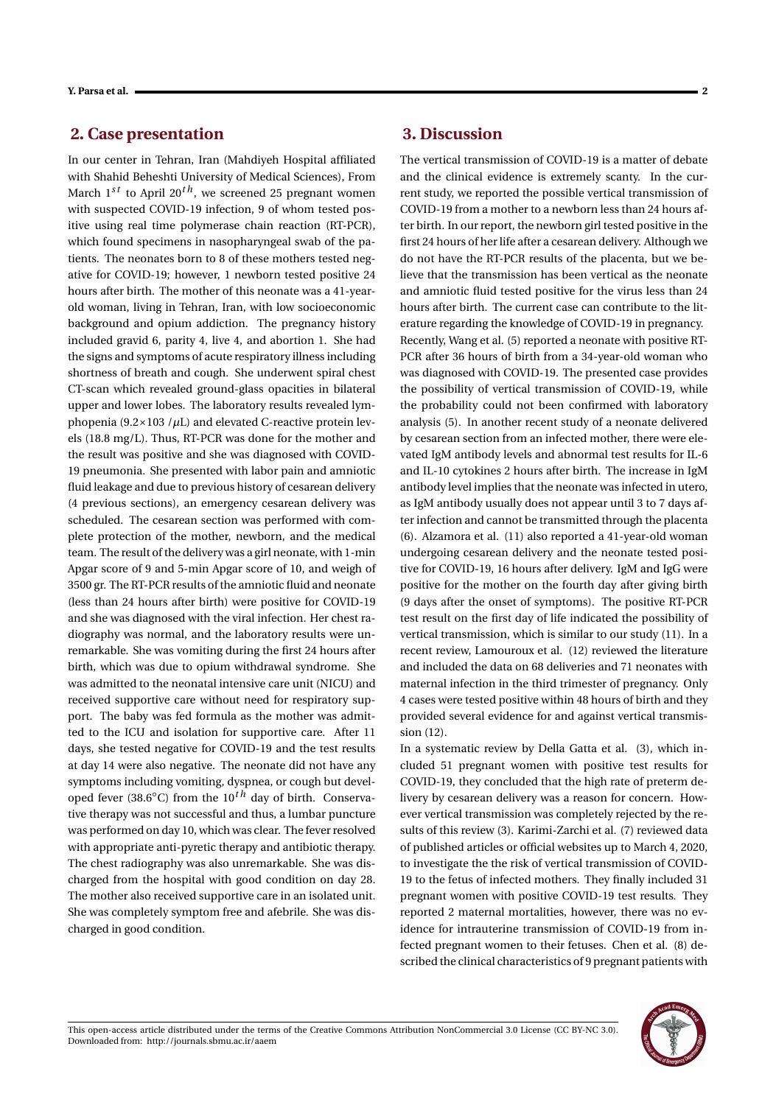### **2. Case presentation**

In our center in Tehran, Iran (Mahdiyeh Hospital affiliated with Shahid Beheshti University of Medical Sciences), From March  $1^{st}$  to April  $20^{th}$ , we screened 25 pregnant women with suspected COVID-19 infection, 9 of whom tested positive using real time polymerase chain reaction (RT-PCR), which found specimens in nasopharyngeal swab of the patients. The neonates born to 8 of these mothers tested negative for COVID-19; however, 1 newborn tested positive 24 hours after birth. The mother of this neonate was a 41-yearold woman, living in Tehran, Iran, with low socioeconomic background and opium addiction. The pregnancy history included gravid 6, parity 4, live 4, and abortion 1. She had the signs and symptoms of acute respiratory illness including shortness of breath and cough. She underwent spiral chest CT-scan which revealed ground-glass opacities in bilateral upper and lower lobes. The laboratory results revealed lymphopenia (9.2×103 /*µ*L) and elevated C-reactive protein levels (18.8 mg/L). Thus, RT-PCR was done for the mother and the result was positive and she was diagnosed with COVID-19 pneumonia. She presented with labor pain and amniotic fluid leakage and due to previous history of cesarean delivery (4 previous sections), an emergency cesarean delivery was scheduled. The cesarean section was performed with complete protection of the mother, newborn, and the medical team. The result of the delivery was a girl neonate, with 1-min Apgar score of 9 and 5-min Apgar score of 10, and weigh of 3500 gr. The RT-PCR results of the amniotic fluid and neonate (less than 24 hours after birth) were positive for COVID-19 and she was diagnosed with the viral infection. Her chest radiography was normal, and the laboratory results were unremarkable. She was vomiting during the first 24 hours after birth, which was due to opium withdrawal syndrome. She was admitted to the neonatal intensive care unit (NICU) and received supportive care without need for respiratory support. The baby was fed formula as the mother was admitted to the ICU and isolation for supportive care. After 11 days, she tested negative for COVID-19 and the test results at day 14 were also negative. The neonate did not have any symptoms including vomiting, dyspnea, or cough but developed fever (38.6◦C) from the 10*t h* day of birth. Conservative therapy was not successful and thus, a lumbar puncture was performed on day 10, which was clear. The fever resolved with appropriate anti-pyretic therapy and antibiotic therapy. The chest radiography was also unremarkable. She was discharged from the hospital with good condition on day 28. The mother also received supportive care in an isolated unit. She was completely symptom free and afebrile. She was discharged in good condition.

### **3. Discussion**

The vertical transmission of COVID-19 is a matter of debate and the clinical evidence is extremely scanty. In the current study, we reported the possible vertical transmission of COVID-19 from a mother to a newborn less than 24 hours after birth. In our report, the newborn girl tested positive in the first 24 hours of her life after a cesarean delivery. Although we do not have the RT-PCR results of the placenta, but we believe that the transmission has been vertical as the neonate and amniotic fluid tested positive for the virus less than 24 hours after birth. The current case can contribute to the literature regarding the knowledge of COVID-19 in pregnancy. Recently, Wang et al. (5) reported a neonate with positive RT-PCR after 36 hours of birth from a 34-year-old woman who was diagnosed with COVID-19. The presented case provides the possibility of vertical transmission of COVID-19, while the probability could not been confirmed with laboratory analysis (5). In another recent study of a neonate delivered by cesarean section from an infected mother, there were elevated IgM antibody levels and abnormal test results for IL-6 and IL-10 cytokines 2 hours after birth. The increase in IgM antibody level implies that the neonate was infected in utero, as IgM antibody usually does not appear until 3 to 7 days after infection and cannot be transmitted through the placenta (6). Alzamora et al. (11) also reported a 41-year-old woman undergoing cesarean delivery and the neonate tested positive for COVID-19, 16 hours after delivery. IgM and IgG were positive for the mother on the fourth day after giving birth (9 days after the onset of symptoms). The positive RT-PCR test result on the first day of life indicated the possibility of vertical transmission, which is similar to our study (11). In a recent review, Lamouroux et al. (12) reviewed the literature and included the data on 68 deliveries and 71 neonates with maternal infection in the third trimester of pregnancy. Only 4 cases were tested positive within 48 hours of birth and they provided several evidence for and against vertical transmission (12).

In a systematic review by Della Gatta et al. (3), which included 51 pregnant women with positive test results for COVID-19, they concluded that the high rate of preterm delivery by cesarean delivery was a reason for concern. However vertical transmission was completely rejected by the results of this review (3). Karimi-Zarchi et al. (7) reviewed data of published articles or official websites up to March 4, 2020, to investigate the the risk of vertical transmission of COVID-19 to the fetus of infected mothers. They finally included 31 pregnant women with positive COVID-19 test results. They reported 2 maternal mortalities, however, there was no evidence for intrauterine transmission of COVID-19 from infected pregnant women to their fetuses. Chen et al. (8) described the clinical characteristics of 9 pregnant patients with

This open-access article distributed under the terms of the Creative Commons Attribution NonCommercial 3.0 License (CC BY-NC 3.0). Downloaded from: http://journals.sbmu.ac.ir/aaem